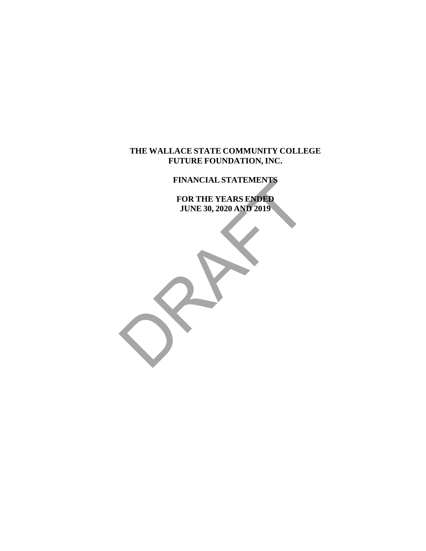# **THE WALLACE STATE COMMUNITY COLLEGE FUTURE FOUNDATION, INC.**

# **FINANCIAL STATEMENTS**

**FOR THE YEARS ENDED JUNE 30, 2020 AND 2019**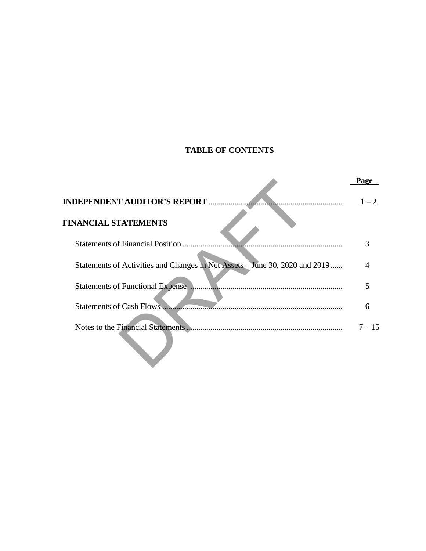# **TABLE OF CONTENTS**

|                                                                             | Page           |
|-----------------------------------------------------------------------------|----------------|
|                                                                             | $1 - 2$        |
| <b>FINANCIAL STATEMENTS</b>                                                 |                |
|                                                                             | 3              |
| Statements of Activities and Changes in Net Assets – June 30, 2020 and 2019 | $\overline{4}$ |
|                                                                             | 5              |
|                                                                             | 6              |
|                                                                             | $7 - 15$       |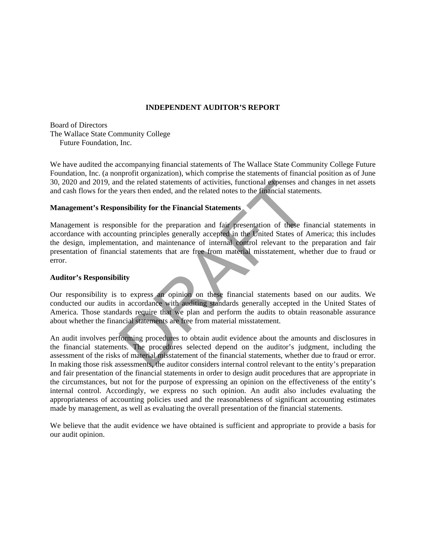

## **INDEPENDENT AUDITOR'S REPORT**

Board of Directors The Wallace State Community College Future Foundation, Inc.

We have audited the accompanying financial statements of The Wallace State Community College Future Foundation, Inc. (a nonprofit organization), which comprise the statements of financial position as of June 30, 2020 and 2019, and the related statements of activities, functional expenses and changes in net assets and cash flows for the years then ended, and the related notes to the financial statements.

### **Management's Responsibility for the Financial Statements**

Management is responsible for the preparation and fair presentation of these financial statements in accordance with accounting principles generally accepted in the United States of America; this includes the design, implementation, and maintenance of internal control relevant to the preparation and fair presentation of financial statements that are free from material misstatement, whether due to fraud or error.

#### **Auditor's Responsibility**

Our responsibility is to express an opinion on these financial statements based on our audits. We conducted our audits in accordance with auditing standards generally accepted in the United States of America. Those standards require that we plan and perform the audits to obtain reasonable assurance about whether the financial statements are free from material misstatement.

An audit involves performing procedures to obtain audit evidence about the amounts and disclosures in the financial statements. The procedures selected depend on the auditor's judgment, including the assessment of the risks of material misstatement of the financial statements, whether due to fraud or error. In making those risk assessments, the auditor considers internal control relevant to the entity's preparation and fair presentation of the financial statements in order to design audit procedures that are appropriate in the circumstances, but not for the purpose of expressing an opinion on the effectiveness of the entity's internal control. Accordingly, we express no such opinion. An audit also includes evaluating the appropriateness of accounting policies used and the reasonableness of significant accounting estimates made by management, as well as evaluating the overall presentation of the financial statements.

We believe that the audit evidence we have obtained is sufficient and appropriate to provide a basis for our audit opinion.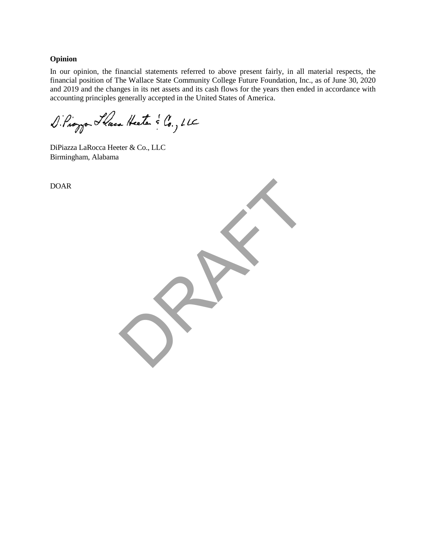## **Opinion**

In our opinion, the financial statements referred to above present fairly, in all material respects, the financial position of The Wallace State Community College Future Foundation, Inc., as of June 30, 2020 and 2019 and the changes in its net assets and its cash flows for the years then ended in accordance with accounting principles generally accepted in the United States of America.

DiProgram Hace Heater & Co., LLC

DiPiazza LaRocca Heeter & Co., LLC Birmingham, Alabama

December 21, 2020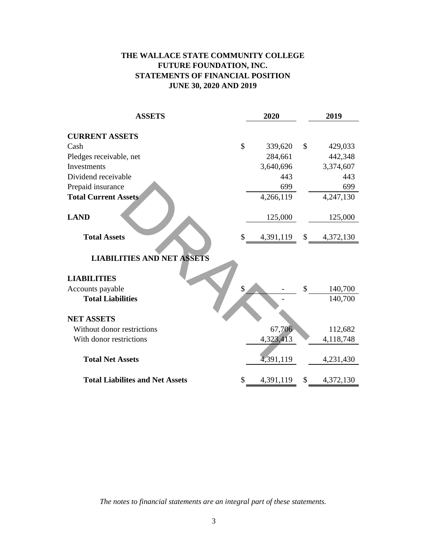# **THE WALLACE STATE COMMUNITY COLLEGE FUTURE FOUNDATION, INC. STATEMENTS OF FINANCIAL POSITION JUNE 30, 2020 AND 2019**

| <b>ASSETS</b>                          |               | 2020      |               | 2019      |
|----------------------------------------|---------------|-----------|---------------|-----------|
| <b>CURRENT ASSETS</b>                  |               |           |               |           |
| Cash                                   | $\mathcal{S}$ | 339,620   | $\mathcal{S}$ | 429,033   |
| Pledges receivable, net                |               | 284,661   |               | 442,348   |
| Investments                            |               | 3,640,696 |               | 3,374,607 |
| Dividend receivable                    |               | 443       |               | 443       |
| Prepaid insurance                      |               | 699       |               | 699       |
| <b>Total Current Assets</b>            |               | 4,266,119 |               | 4,247,130 |
| <b>LAND</b>                            |               | 125,000   |               | 125,000   |
| <b>Total Assets</b>                    | \$            | 4,391,119 | \$            | 4,372,130 |
| <b>LIABILITIES AND NET ASSETS</b>      |               |           |               |           |
| <b>LIABILITIES</b>                     |               |           |               |           |
| Accounts payable                       | $\mathcal{S}$ |           | \$            | 140,700   |
| <b>Total Liabilities</b>               |               |           |               | 140,700   |
| <b>NET ASSETS</b>                      |               |           |               |           |
| Without donor restrictions             |               | 67,706    |               | 112,682   |
| With donor restrictions                |               | 4,323,413 |               | 4,118,748 |
| <b>Total Net Assets</b>                |               | 4,391,119 |               | 4,231,430 |
| <b>Total Liabilites and Net Assets</b> | \$            | 4,391,119 | \$            | 4,372,130 |

 *The notes to financial statements are an integral part of these statements.*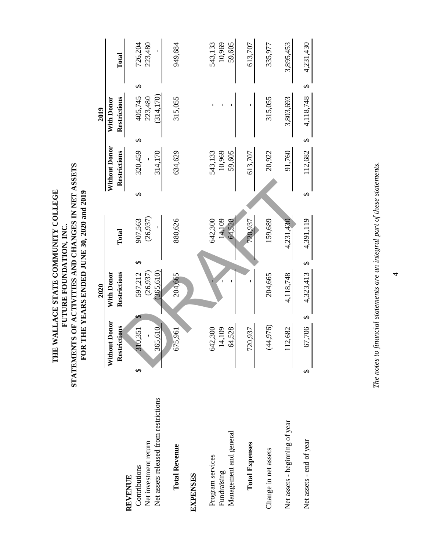STATEMENTS OF ACTIVITIES AND CHANGES IN NET ASSETS **STATEMENTS OF ACTIVITIES AND CHANGES IN NET ASSETS** THE WALLACE STATE COMMUNITY COLLEGE **THE WALLACE STATE COMMUNITY COLLEGE**  FOR THE YEARS ENDED JUNE 30, 2020 and 2019 **FOR THE YEARS ENDED JUNE 30, 2020 and 2019**FUTURE FOUNDATION, INC. **FUTURE FOUNDATION, INC.**

|                                                                                                   |           |                                      |          | 2020                                          |                      |           |                               |                   | 2019                             |           |                         |
|---------------------------------------------------------------------------------------------------|-----------|--------------------------------------|----------|-----------------------------------------------|----------------------|-----------|-------------------------------|-------------------|----------------------------------|-----------|-------------------------|
|                                                                                                   |           | <b>Without Donor</b><br>Restrictions |          | Restrictions<br><b>With Donor</b>             | Total                |           | Without Donor<br>Restrictions |                   | Restrictions<br>With Donor       |           | Total                   |
| Net assets released from restrictions<br>Net investment return<br>Contributions<br><b>REVENUE</b> | ↮         | 365,610<br>310,351                   | ↮        | $\Theta$<br>(365, 610)<br>(26,937)<br>597,212 | (26, 937)<br>907,563 | ↔         | 320,459<br>314,170            | $\varphi$         | (314, 170)<br>405,745<br>223,480 | $\varphi$ | 223,480<br>726,204<br>ı |
| <b>Total Revenue</b>                                                                              |           | 675,961                              |          | 204,665                                       | 880,626              |           | 634,629                       |                   | 315,055                          |           | 949,684                 |
| <b>EXPENSES</b>                                                                                   |           |                                      |          |                                               |                      |           |                               |                   |                                  |           |                         |
| Program services                                                                                  |           | 642,300                              |          |                                               | 642,300              |           | 543,133                       |                   |                                  |           | 543,133                 |
| Fundraising                                                                                       |           | 14,109                               |          |                                               | 14,109               |           | 10,969                        |                   |                                  |           | 10,969                  |
| Management and general                                                                            |           | 64,528                               |          |                                               | 64,528               |           | 59,605                        |                   |                                  |           | 59,605                  |
| <b>Total Expenses</b>                                                                             |           | 720,937                              |          |                                               | 720,937              |           | 613,707                       |                   |                                  |           | 613,707                 |
| Change in net assets                                                                              |           | (44,976)                             |          | 204,665                                       | 159,689              |           | 20,922                        |                   | 315,055                          |           | 335,977                 |
| Net assets - beginning of year                                                                    |           | 112,682                              |          | 4,118,748                                     | 4,231,430            |           | 91,760                        |                   | 3,803,693                        |           | 3,895,453               |
| Net assets - end of year                                                                          | $\varphi$ | 67,706                               | $\Theta$ | $\leftrightarrow$<br>4,323,413                | 4,391,119            | $\varphi$ | 112,682                       | $\leftrightarrow$ | 4,118,748                        | $\Theta$  | 4,231,430               |

The notes to financial statements are an integral part of these statements.  *The notes to financial statements are an integral part of these statements.*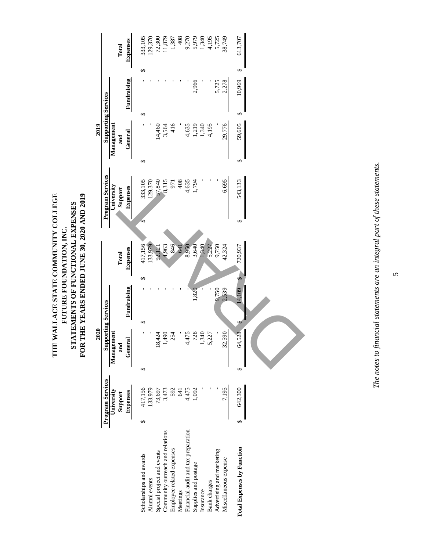THE WALLACE STATE COMMUNITY COLLEGE FUTURE FOUNDATION, INC. FOR THE YEARS ENDED JUNE 30, 2020 AND 2019 **THE WALLACE STATE COMMUNITY COLLEGE FOR THE YEARS ENDED JUNE 30, 2020 AND 2019**STATEMENTS OF FUNCTIONAL EXPENSES **STATEMENTS OF FUNCTIONAL EXPENSES FUTURE FOUNDATION, INC.**

|                                     |   |                  |   | 2020                       |   |                             |   |          |   |                         |   | 2019                       |                        |             |   |          |
|-------------------------------------|---|------------------|---|----------------------------|---|-----------------------------|---|----------|---|-------------------------|---|----------------------------|------------------------|-------------|---|----------|
|                                     |   | Program Services |   | <b>Supporting Services</b> |   |                             |   |          |   | <b>Program Services</b> |   | <b>Supporting Services</b> |                        |             |   |          |
|                                     |   | University       |   | Management                 |   |                             |   |          |   | University              |   | Management                 |                        |             |   |          |
|                                     |   | Support          |   | and                        |   |                             |   | Total    |   | Support                 |   | and                        |                        |             |   | Total    |
|                                     |   | Expenses         |   | General                    |   | Fundraising                 |   | Expenses |   | Expenses                |   | General                    |                        | Fundraising |   | Expenses |
| Scholarships and awards             |   | 417,156          | ∽ |                            | ∽ |                             | ↮ | 417,156  | ∽ | 333,105                 | ∽ |                            | ∽                      |             | ↮ | 333,105  |
| Alumni events                       |   | 133,979          |   |                            |   |                             |   | 133,979  |   | 129,370                 |   |                            |                        |             |   | 129,370  |
| Special project and events          |   | 73,697           |   | 18,424                     |   |                             |   | 92,121   |   | 57,840                  |   | 14,460                     |                        |             |   | 72,300   |
| Community outreach and relations    |   | 3,473            |   | 1,490                      |   |                             |   | 4,963    |   | 8,315                   |   | 3,564                      |                        |             |   | 11,879   |
| Employee related expenses           |   | 592              |   | 254                        |   |                             |   | 846      |   | 971                     |   | 416                        |                        |             |   | 1,387    |
| Meetings                            |   | $\overline{4}$   |   |                            |   |                             |   | 641      |   | 408                     |   |                            |                        |             |   | 408      |
| Financial audit and tax preparation |   | 4,475            |   | 4,475                      |   |                             |   | 8,950    |   | 4,635                   |   | 4,635                      |                        |             |   | 9,270    |
| Supplies and postage                |   | 1,092            |   | 728                        |   | 820<br>$\tilde{\mathbf{S}}$ |   | 3,640    |   | 1,794                   |   | 1,219                      |                        | 2,966       |   | 5,979    |
| Insurance                           |   |                  |   | 1,340                      |   |                             |   | 1,340    |   |                         |   | 1,340                      |                        |             |   | 1,340    |
| Bank charges                        |   |                  |   | 5,227                      |   |                             |   | 5,227    |   |                         |   | 4,195                      |                        |             |   | 4,195    |
| Advertising and marketing           |   |                  |   |                            |   | ္ဘ<br>5,7                   |   | 9,750    |   |                         |   |                            |                        | 5,725       |   | 5,725    |
| Miscellaneous expense               |   | 7,195            |   | 32,590                     |   | 2,539                       |   | 42,324   |   | 6,695                   |   | 29,776                     |                        | 2,278       |   | 38,749   |
| Total Expenses by Function          | S | 642,300          | ↮ | 64,528 \$                  |   | I<br>14,109                 |   | 720,937  | S | 543,133                 | S | 59,605                     | $\boldsymbol{\varphi}$ | 10,969      |   | 613,707  |

The notes to financial statements are an integral part of these statements.  *The notes to financial statements are an integral part of these statements.*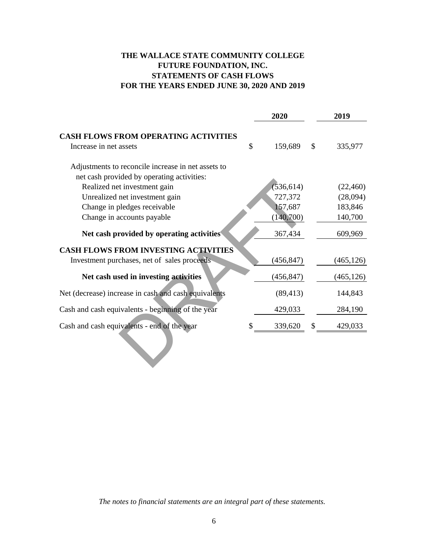# **THE WALLACE STATE COMMUNITY COLLEGE FUTURE FOUNDATION, INC. STATEMENTS OF CASH FLOWS FOR THE YEARS ENDED JUNE 30, 2020 AND 2019**

|                                                                                                  | 2020          |               | 2019       |
|--------------------------------------------------------------------------------------------------|---------------|---------------|------------|
| <b>CASH FLOWS FROM OPERATING ACTIVITIES</b>                                                      |               |               |            |
| Increase in net assets                                                                           | \$<br>159,689 | $\mathcal{S}$ | 335,977    |
| Adjustments to reconcile increase in net assets to<br>net cash provided by operating activities: |               |               |            |
| Realized net investment gain                                                                     | (536, 614)    |               | (22, 460)  |
| Unrealized net investment loss                                                                   | 727,372       |               | (28,094)   |
| Change in pledges receivable                                                                     | 157,687       |               | 183,846    |
| Change in accounts payable                                                                       | (140,700)     |               | 140,700    |
| Net cash provided by operating activities                                                        | 367,434       |               | 609,969    |
| <b>CASH FLOWS FROM INVESTING ACTIVITIES</b>                                                      |               |               |            |
| Investment purchases, net of sales proceeds                                                      | (456, 847)    |               | (465, 126) |
| Net cash used in investing activities                                                            | (456, 847)    |               | (465, 126) |
| Net (decrease) increase in cash and cash equivalents                                             | (89, 413)     |               | 144,843    |
| Cash and cash equivalents - beginning of the year                                                | 429,033       |               | 284,190    |
| Cash and cash equivalents - end of the year                                                      | \$<br>339,620 |               | 429,033    |

*The notes to financial statements are an integral part of these statements.*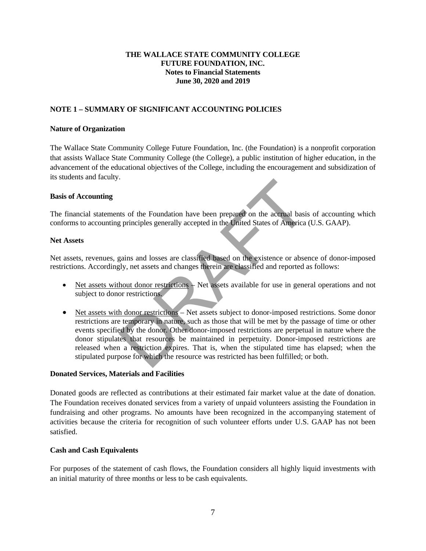# **NOTE 1 – SUMMARY OF SIGNIFICANT ACCOUNTING POLICIES**

### **Nature of Organization**

The Wallace State Community College Future Foundation, Inc. (the Foundation) is a nonprofit corporation that assists Wallace State Community College (the College), a public institution of higher education, in the advancement of the educational objectives of the College, including the encouragement and subsidization of its students and faculty.

### **Basis of Accounting**

The financial statements of the Foundation have been prepared on the accrual basis of accounting which conforms to accounting principles generally accepted in the United States of America (U.S. GAAP).

### **Net Assets**

Net assets, revenues, gains and losses are classified based on the existence or absence of donor-imposed restrictions. Accordingly, net assets and changes therein are classified and reported as follows:

- Net assets without donor restrictions Net assets available for use in general operations and not subject to donor restrictions.
- Net assets with donor restrictions Net assets subject to donor-imposed restrictions. Some donor restrictions are temporary in nature, such as those that will be met by the passage of time or other events specified by the donor. Other donor-imposed restrictions are perpetual in nature where the donor stipulates that resources be maintained in perpetuity. Donor-imposed restrictions are released when a restriction expires. That is, when the stipulated time has elapsed; when the stipulated purpose for which the resource was restricted has been fulfilled; or both.

#### **Donated Services, Materials and Facilities**

Donated goods are reflected as contributions at their estimated fair market value at the date of donation. The Foundation receives donated services from a variety of unpaid volunteers assisting the Foundation in fundraising and other programs. No amounts have been recognized in the accompanying statement of activities because the criteria for recognition of such volunteer efforts under U.S. GAAP has not been satisfied.

#### **Cash and Cash Equivalents**

For purposes of the statement of cash flows, the Foundation considers all highly liquid investments with an initial maturity of three months or less to be cash equivalents.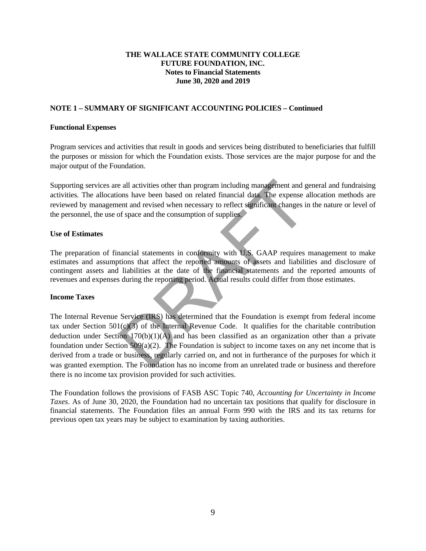## **NOTE 1 – SUMMARY OF SIGNIFICANT ACCOUNTING POLICIES – Continued**

### **Functional Expenses**

Program services and activities that result in goods and services being distributed to beneficiaries that fulfill the purposes or mission for which the Foundation exists. Those services are the major purpose for and the major output of the Foundation.

Supporting services are all activities other than program including management and general and fundraising activities. The allocations have been based on related financial data. The expense allocation methods are reviewed by management and revised when necessary to reflect significant changes in the nature or level of the personnel, the use of space and the consumption of supplies.

### **Use of Estimates**

The preparation of financial statements in conformity with U.S. GAAP requires management to make estimates and assumptions that affect the reported amounts of assets and liabilities and disclosure of contingent assets and liabilities at the date of the financial statements and the reported amounts of revenues and expenses during the reporting period. Actual results could differ from those estimates.

## **Income Taxes**

The Internal Revenue Service (IRS) has determined that the Foundation is exempt from federal income tax under Section  $501(c)(3)$  of the Internal Revenue Code. It qualifies for the charitable contribution deduction under Section  $170(b)(1)(A)$  and has been classified as an organization other than a private foundation under Section 509(a)(2). The Foundation is subject to income taxes on any net income that is derived from a trade or business, regularly carried on, and not in furtherance of the purposes for which it was granted exemption. The Foundation has no income from an unrelated trade or business and therefore there is no income tax provision provided for such activities.

The Foundation follows the provisions of FASB ASC Topic 740, *Accounting for Uncertainty in Income Taxes*. As of June 30, 2020, the Foundation had no uncertain tax positions that qualify for disclosure in financial statements. The Foundation files an annual Form 990 with the IRS and its tax returns for previous open tax years may be subject to examination by taxing authorities.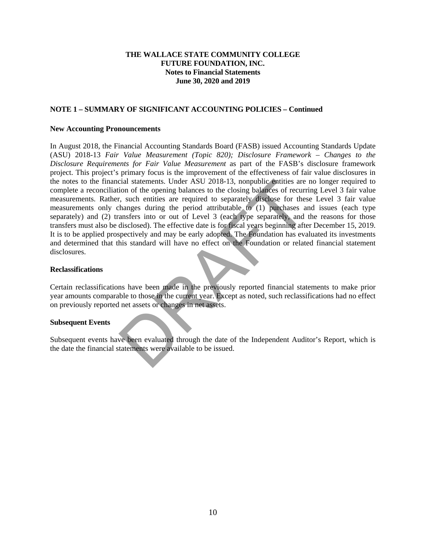## **NOTE 1 – SUMMARY OF SIGNIFICANT ACCOUNTING POLICIES – Continued**

#### **New Accounting Pronouncements**

In August 2018, the Financial Accounting Standards Board (FASB) issued Accounting Standards Update (ASU) 2018-13 *Fair Value Measurement (Topic 820); Disclosure Framework – Changes to the Disclosure Requirements for Fair Value Measurement* as part of the FASB's disclosure framework project. This project's primary focus is the improvement of the effectiveness of fair value disclosures in the notes to the financial statements. Under ASU 2018-13, nonpublic entities are no longer required to complete a reconciliation of the opening balances to the closing balances of recurring Level 3 fair value measurements. Rather, such entities are required to separately disclose for these Level 3 fair value measurements only changes during the period attributable to (1) purchases and issues (each type separately) and (2) transfers into or out of Level 3 (each type separately, and the reasons for those transfers must also be disclosed). The effective date is for fiscal years beginning after December 15, 2019. It is to be applied prospectively and may be early adopted. The Foundation has evaluated its investments and determined that this standard will have no effect on the Foundation or related financial statement disclosures.

## **Reclassifications**

Certain reclassifications have been made in the previously reported financial statements to make prior year amounts comparable to those in the current year. Except as noted, such reclassifications had no effect on previously reported net assets or changes in net assets.

#### **Subsequent Events**

Subsequent events have been evaluated through the date of the Independent Auditor's Report, which is the date the financial statements were available to be issued.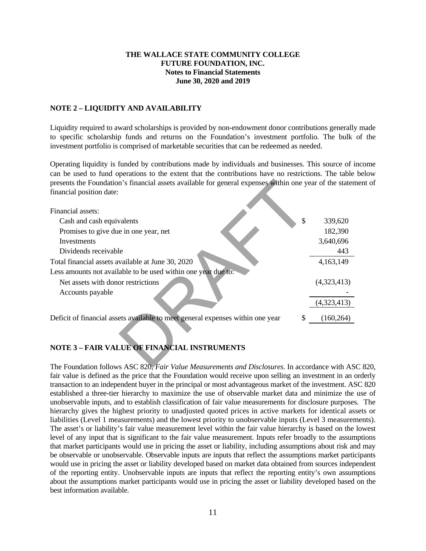## **NOTE 2 – LIQUIDITY AND AVAILABILITY**

Liquidity required to award scholarships is provided by non-endowment donor contributions generally made to specific scholarship funds and returns on the Foundation's investment portfolio. The bulk of the investment portfolio is comprised of marketable securities that can be redeemed as needed.

Operating liquidity is funded by contributions made by individuals and businesses. This source of income can be used to fund operations to the extent that the contributions have no restrictions. The table below presents the Foundation's financial assets available for general expenses within one year of the statement of financial position date:

| Financial assets:                                                              |    |             |
|--------------------------------------------------------------------------------|----|-------------|
| Cash and cash equivalents                                                      | \$ | 339,620     |
| Promises to give due in one year, net                                          |    | 182,390     |
| Investments                                                                    |    | 3,640,696   |
| Dividends receivable                                                           |    | 443         |
| Total financial assets available at June 30, 2020                              |    | 4,163,149   |
| Less amounts not available to be used within one year due to:                  |    |             |
| Net assets with donor restrictions                                             |    | (4,323,413) |
| Accounts payable                                                               |    |             |
|                                                                                |    | (4,323,413) |
| Deficit of financial assets available to meet general expenses within one year | S  | (160, 264)  |

#### **NOTE 3 – FAIR VALUE OF FINANCIAL INSTRUMENTS**

The Foundation follows ASC 820, *Fair Value Measurements and Disclosures*. In accordance with ASC 820, fair value is defined as the price that the Foundation would receive upon selling an investment in an orderly transaction to an independent buyer in the principal or most advantageous market of the investment. ASC 820 established a three-tier hierarchy to maximize the use of observable market data and minimize the use of unobservable inputs, and to establish classification of fair value measurements for disclosure purposes. The hierarchy gives the highest priority to unadjusted quoted prices in active markets for identical assets or liabilities (Level 1 measurements) and the lowest priority to unobservable inputs (Level 3 measurements). The asset's or liability's fair value measurement level within the fair value hierarchy is based on the lowest level of any input that is significant to the fair value measurement. Inputs refer broadly to the assumptions that market participants would use in pricing the asset or liability, including assumptions about risk and may be observable or unobservable. Observable inputs are inputs that reflect the assumptions market participants would use in pricing the asset or liability developed based on market data obtained from sources independent of the reporting entity. Unobservable inputs are inputs that reflect the reporting entity's own assumptions about the assumptions market participants would use in pricing the asset or liability developed based on the best information available.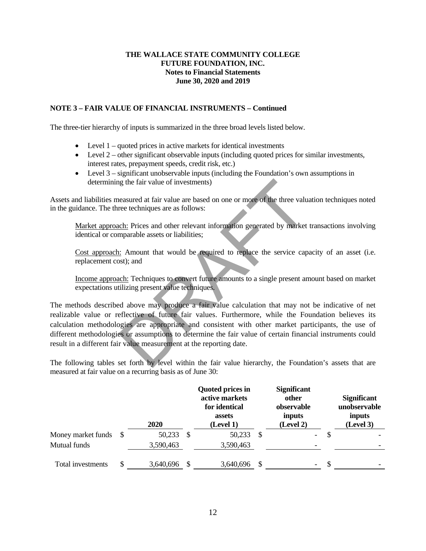## **NOTE 3 – FAIR VALUE OF FINANCIAL INSTRUMENTS – Continued**

The three-tier hierarchy of inputs is summarized in the three broad levels listed below.

- Level  $1$  quoted prices in active markets for identical investments
- Level  $2$  other significant observable inputs (including quoted prices for similar investments, interest rates, prepayment speeds, credit risk, etc.)
- Level 3 significant unobservable inputs (including the Foundation's own assumptions in determining the fair value of investments)

Assets and liabilities measured at fair value are based on one or more of the three valuation techniques noted in the guidance. The three techniques are as follows:

Market approach: Prices and other relevant information generated by market transactions involving identical or comparable assets or liabilities;

Cost approach: Amount that would be required to replace the service capacity of an asset (i.e. replacement cost); and

Income approach: Techniques to convert future amounts to a single present amount based on market expectations utilizing present value techniques.

The methods described above may produce a fair value calculation that may not be indicative of net realizable value or reflective of future fair values. Furthermore, while the Foundation believes its calculation methodologies are appropriate and consistent with other market participants, the use of different methodologies or assumptions to determine the fair value of certain financial instruments could result in a different fair value measurement at the reporting date.

The following tables set forth by level within the fair value hierarchy, the Foundation's assets that are measured at fair value on a recurring basis as of June 30:

|                    |      | <b>2020</b> |    | <b>Quoted prices in</b><br>active markets<br>for identical<br>assets<br>(Level 1) |    | <b>Significant</b><br>other<br>observable<br>inputs<br>(Level 2) |    | <b>Significant</b><br>unobservable<br>inputs<br>(Level 3) |
|--------------------|------|-------------|----|-----------------------------------------------------------------------------------|----|------------------------------------------------------------------|----|-----------------------------------------------------------|
| Money market funds | - \$ | 50,233      | \$ | 50,233                                                                            |    |                                                                  | S  |                                                           |
| Mutual funds       |      | 3,590,463   |    | 3,590,463                                                                         |    |                                                                  |    |                                                           |
| Total investments  | \$   | 3,640,696   | -S | 3,640,696                                                                         | -S | $\overline{\phantom{a}}$                                         | -S |                                                           |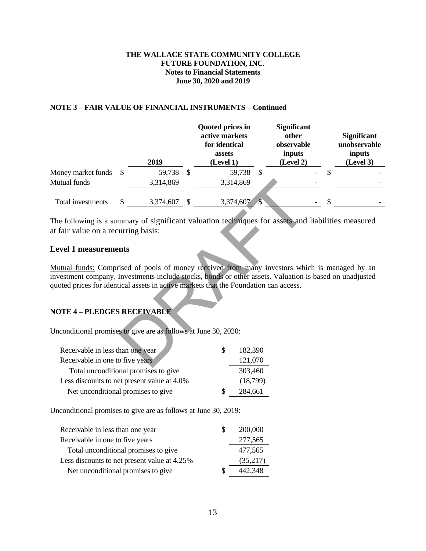# **NOTE 3 – FAIR VALUE OF FINANCIAL INSTRUMENTS – Continued**

|                     |   | 2019      |    | <b>Quoted prices in</b><br>active markets<br>for identical<br>assets<br>(Level 1) | <b>Significant</b><br>other<br>observable<br>inputs<br>(Level 2) | <b>Significant</b><br>unobservable<br>inputs<br>(Level 3) |
|---------------------|---|-----------|----|-----------------------------------------------------------------------------------|------------------------------------------------------------------|-----------------------------------------------------------|
| Money market funds  |   | 59,738    | -S | 59,738                                                                            | -                                                                | \$                                                        |
| <b>Mutual funds</b> |   | 3,314,869 |    | 3,314,869                                                                         | -                                                                |                                                           |
| Total investments   | S | 3,374,607 |    | 3,374,607                                                                         | -                                                                | \$                                                        |

The following is a summary of significant valuation techniques for assets and liabilities measured at fair value on a recurring basis:

# **Level 1 measurements**

Mutual funds: Comprised of pools of money received from many investors which is managed by an investment company. Investments include stocks, bonds or other assets. Valuation is based on unadjusted quoted prices for identical assets in active markets that the Foundation can access.

# **NOTE 4 – PLEDGES RECEIVABLE**

Unconditional promises to give are as follows at June 30, 2020:

| Receivable in less than one year            | 182,390  |
|---------------------------------------------|----------|
| Receivable in one to five years             | 121,070  |
| Total unconditional promises to give        | 303,460  |
| Less discounts to net present value at 4.0% | (18,799) |
| Net unconditional promises to give          | 284,661  |

Unconditional promises to give are as follows at June 30, 2019:

| Receivable in less than one year             | S. | 200,000  |
|----------------------------------------------|----|----------|
| Receivable in one to five years              |    | 277,565  |
| Total unconditional promises to give         |    | 477,565  |
| Less discounts to net present value at 4.25% |    | (35,217) |
| Net unconditional promises to give           |    | 442,348  |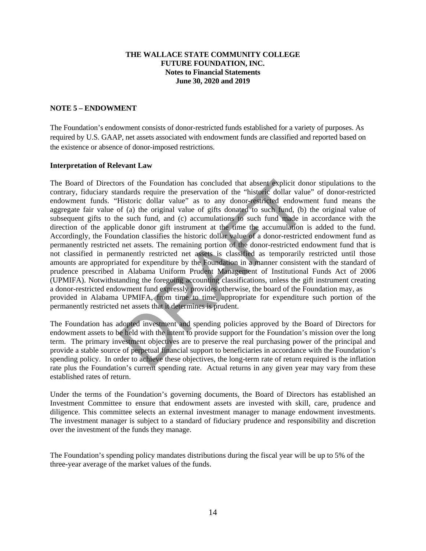## **NOTE 5 – ENDOWMENT**

The Foundation's endowment consists of donor-restricted funds established for a variety of purposes. As required by U.S. GAAP, net assets associated with endowment funds are classified and reported based on the existence or absence of donor-imposed restrictions.

## **Interpretation of Relevant Law**

The Board of Directors of the Foundation has concluded that absent explicit donor stipulations to the contrary, fiduciary standards require the preservation of the "historic dollar value" of donor-restricted endowment funds. "Historic dollar value" as to any donor-restricted endowment fund means the aggregate fair value of (a) the original value of gifts donated to such fund, (b) the original value of subsequent gifts to the such fund, and (c) accumulations to such fund made in accordance with the direction of the applicable donor gift instrument at the time the accumulation is added to the fund. Accordingly, the Foundation classifies the historic dollar value of a donor-restricted endowment fund as permanently restricted net assets. The remaining portion of the donor-restricted endowment fund that is not classified in permanently restricted net assets is classified as temporarily restricted until those amounts are appropriated for expenditure by the Foundation in a manner consistent with the standard of prudence prescribed in Alabama Uniform Prudent Management of Institutional Funds Act of 2006 (UPMIFA). Notwithstanding the foregoing accounting classifications, unless the gift instrument creating a donor-restricted endowment fund expressly provides otherwise, the board of the Foundation may, as provided in Alabama UPMIFA, from time to time, appropriate for expenditure such portion of the permanently restricted net assets that it determines is prudent.

The Foundation has adopted investment and spending policies approved by the Board of Directors for endowment assets to be held with the intent to provide support for the Foundation's mission over the long term. The primary investment objectives are to preserve the real purchasing power of the principal and provide a stable source of perpetual financial support to beneficiaries in accordance with the Foundation's spending policy. In order to achieve these objectives, the long-term rate of return required is the inflation rate plus the Foundation's current spending rate. Actual returns in any given year may vary from these established rates of return.

Under the terms of the Foundation's governing documents, the Board of Directors has established an Investment Committee to ensure that endowment assets are invested with skill, care, prudence and diligence. This committee selects an external investment manager to manage endowment investments. The investment manager is subject to a standard of fiduciary prudence and responsibility and discretion over the investment of the funds they manage.

The Foundation's spending policy mandates distributions during the fiscal year will be up to 5% of the three-year average of the market values of the funds.